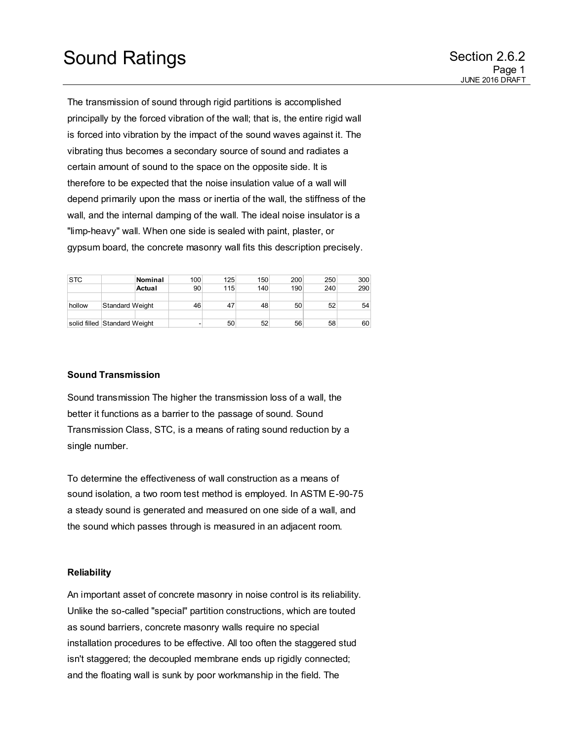The transmission of sound through rigid partitions is accomplished principally by the forced vibration of the wall; that is, the entire rigid wall is forced into vibration by the impact of the sound waves against it. The vibrating thus becomes a secondary source of sound and radiates a certain amount of sound to the space on the opposite side. It is therefore to be expected that the noise insulation value of a wall will depend primarily upon the mass or inertia of the wall, the stiffness of the wall, and the internal damping of the wall. The ideal noise insulator is a "limp-heavy" wall. When one side is sealed with paint, plaster, or gypsum board, the concrete masonry wall fits this description precisely.

| <b>STC</b> |                              | Nominal | 100 | 125 | 150 | 200 | 250 | 300 |
|------------|------------------------------|---------|-----|-----|-----|-----|-----|-----|
|            |                              | Actual  | 90  | 115 | 140 | 190 | 240 | 290 |
|            |                              |         |     |     |     |     |     |     |
| hollow     | <b>Standard Weight</b>       |         | 46  | 47  | 48  | 50  | 52  | 54  |
|            |                              |         |     |     |     |     |     |     |
|            | solid filled Standard Weight |         | -   | 50  | 52  | 56  | 58  | 60  |

## **Sound Transmission**

Sound transmission The higher the transmission loss of a wall, the better it functions as a barrier to the passage of sound. Sound Transmission Class, STC, is a means of rating sound reduction by a single number.

To determine the effectiveness of wall construction as a means of sound isolation, a two room test method is employed. In ASTM E-90-75 a steady sound is generated and measured on one side of a wall, and the sound which passes through is measured in an adjacent room.

### **Reliability**

An important asset of concrete masonry in noise control is its reliability. Unlike the so-called "special" partition constructions, which are touted as sound barriers, concrete masonry walls require no special installation procedures to be effective. All too often the staggered stud isn't staggered; the decoupled membrane ends up rigidly connected; and the floating wall is sunk by poor workmanship in the field. The